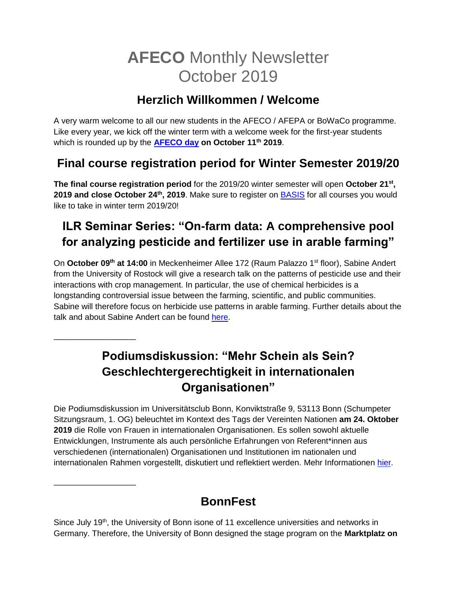# **AFECO** Monthly Newsletter October 2019

#### **Herzlich Willkommen / Welcome**

A very warm welcome to all our new students in the AFECO / AFEPA or BoWaCo programme. Like every year, we kick off the winter term with a welcome week for the first-year students which is rounded up by the **[AFECO day](https://www.afeco.uni-bonn.de/pdf/afeco-day-agenda-2019.pdf) on October 11th 2019**.

## **Final course registration period for Winter Semester 2019/20**

**The final course registration period** for the 2019/20 winter semester will open **October 21st , 2019 and close October 24th, 2019**. Make sure to register on [BASIS](https://basis.uni-bonn.de/qisserver/rds?state=wtree&search=1&trex=step&root120192=194644%7C194352%7C194374&P.vx=lang) for all courses you would like to take in winter term 2019/20!

# **ILR Seminar Series: "On-farm data: A comprehensive pool for analyzing pesticide and fertilizer use in arable farming"**

On October 09<sup>th</sup> at 14:00 in Meckenheimer Allee 172 (Raum Palazzo 1<sup>st</sup> floor), Sabine Andert from the University of Rostock will give a research talk on the patterns of pesticide use and their interactions with crop management. In particular, the use of chemical herbicides is a longstanding controversial issue between the farming, scientific, and public communities. Sabine will therefore focus on herbicide use patterns in arable farming. Further details about the talk and about Sabine Andert can be found [here.](http://www.ilr.uni-bonn.de/pe/research/ILR%20Seminar%20series/seminar_d.htm)

## **Podiumsdiskussion: "Mehr Schein als Sein? Geschlechtergerechtigkeit in internationalen Organisationen"**

\_\_\_\_\_\_\_\_\_\_\_\_\_\_\_\_\_\_

\_\_\_\_\_\_\_\_\_\_\_\_\_\_\_\_\_\_

Die Podiumsdiskussion im Universitätsclub Bonn, Konviktstraße 9, 53113 Bonn (Schumpeter Sitzungsraum, 1. OG) beleuchtet im Kontext des Tags der Vereinten Nationen **am 24. Oktober 2019** die Rolle von Frauen in internationalen Organisationen. Es sollen sowohl aktuelle Entwicklungen, Instrumente als auch persönliche Erfahrungen von Referent\*innen aus verschiedenen (internationalen) Organisationen und Institutionen im nationalen und internationalen Rahmen vorgestellt, diskutiert und reflektiert werden. Mehr Informationen [hier.](https://www.uni-bonn.de/studium/studium-in-bonn-fuer-internationale-studierende/betreuung-auslaendischer-studierender/internationaler-club/clubtermine/23.-oktober-2019-podiumsdiskussion-201emehr-schein-als-sein-geschlechtergerechtigkeit-in-internationalen-organisationen201c-1)

#### **BonnFest**

Since July 19<sup>th</sup>, the University of Bonn isone of 11 excellence universities and networks in Germany. Therefore, the University of Bonn designed the stage program on the **Marktplatz on**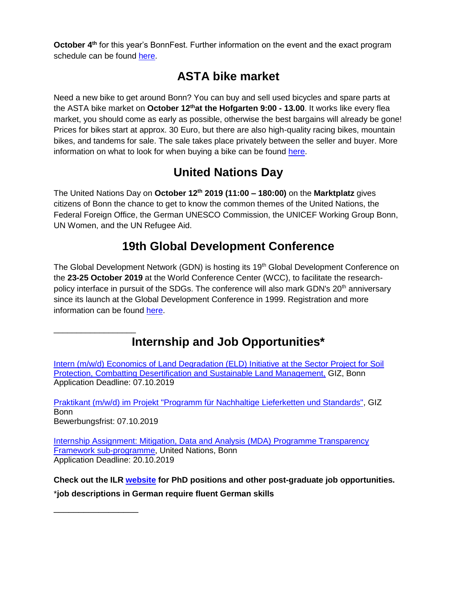**October 4<sup>th</sup> for this year's BonnFest. Further information on the event and the exact program** schedule can be found [here.](https://www.uni-bonn.de/die-universitaet/veranstaltungen/bonn-fest)

### **ASTA bike market**

Need a new bike to get around Bonn? You can buy and sell used bicycles and spare parts at the ASTA bike market on **October 12that the Hofgarten 9:00 - 13.00**. It works like every flea market, you should come as early as possible, otherwise the best bargains will already be gone! Prices for bikes start at approx. 30 Euro, but there are also high-quality racing bikes, mountain bikes, and tandems for sale. The sale takes place privately between the seller and buyer. More information on what to look for when buying a bike can be found [here.](http://www.asta-bonn.de/Fahrradmarkt)

## **United Nations Day**

The United Nations Day on **October 12th 2019 (11:00 – 180:00)** on the **Marktplatz** gives citizens of Bonn the chance to get to know the common themes of the United Nations, the Federal Foreign Office, the German UNESCO Commission, the UNICEF Working Group Bonn, UN Women, and the UN Refugee Aid.

## **19th Global Development Conference**

The Global Development Network (GDN) is hosting its 19<sup>th</sup> Global Development Conference on the **23-25 October 2019** at the World Conference Center (WCC), to facilitate the researchpolicy interface in pursuit of the SDGs. The conference will also mark GDN's 20<sup>th</sup> anniversary since its launch at the Global Development Conference in 1999. Registration and more information can be found [here.](http://www.gdn.int/conference2019)

## **Internship and Job Opportunities\***

[Intern \(m/w/d\) Economics of Land Degradation \(ELD\) Initiative at the Sector Project for Soil](https://jobs.giz.de/index.php?ac=jobad&id=45858)  [Protection, Combatting Desertification and Sustainable Land Management,](https://jobs.giz.de/index.php?ac=jobad&id=45858) GIZ, Bonn Application Deadline: 07.10.2019

[Praktikant \(m/w/d\) im Projekt "Programm für Nachhaltige Lieferketten und Standards",](https://jobs.giz.de/index.php?ac=jobad&id=45860) GIZ Bonn Bewerbungsfrist: 07.10.2019

[Internship Assignment: Mitigation, Data and Analysis \(MDA\) Programme Transparency](http://unfccc.int/secretariat/employment/UserManagement/FileStorage/JBHNWUO71SE5ZIF0CQXRDL8MTPKA9Y)  [Framework sub-programme,](http://unfccc.int/secretariat/employment/UserManagement/FileStorage/JBHNWUO71SE5ZIF0CQXRDL8MTPKA9Y) United Nations, Bonn Application Deadline: 20.10.2019

**Check out the ILR [website](https://www.ilr1.uni-bonn.de/de/jobs/stellenanzeigen) for PhD positions and other post-graduate job opportunities.** \***job descriptions in German require fluent German skills**

\_\_\_\_\_\_\_\_\_\_\_\_\_\_\_\_\_

\_\_\_\_\_\_\_\_\_\_\_\_\_\_\_\_\_\_